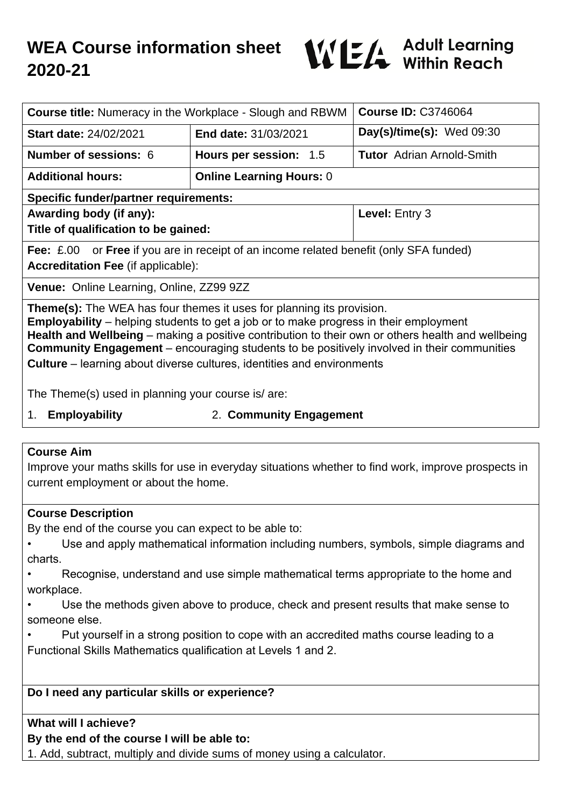# **WEA Course information sheet 2020-21**



| <b>Course title:</b> Numeracy in the Workplace - Slough and RBWM                                                                                                                                                                                                                                                                                                                                                                                                        |                                 | <b>Course ID: C3746064</b>       |
|-------------------------------------------------------------------------------------------------------------------------------------------------------------------------------------------------------------------------------------------------------------------------------------------------------------------------------------------------------------------------------------------------------------------------------------------------------------------------|---------------------------------|----------------------------------|
| <b>Start date: 24/02/2021</b>                                                                                                                                                                                                                                                                                                                                                                                                                                           | End date: 31/03/2021            | Day(s)/time(s): $Wed 09:30$      |
| <b>Number of sessions: 6</b>                                                                                                                                                                                                                                                                                                                                                                                                                                            | Hours per session: 1.5          | <b>Tutor</b> Adrian Arnold-Smith |
| <b>Additional hours:</b>                                                                                                                                                                                                                                                                                                                                                                                                                                                | <b>Online Learning Hours: 0</b> |                                  |
| <b>Specific funder/partner requirements:</b>                                                                                                                                                                                                                                                                                                                                                                                                                            |                                 |                                  |
| Awarding body (if any):                                                                                                                                                                                                                                                                                                                                                                                                                                                 |                                 | Level: Entry 3                   |
| Title of qualification to be gained:                                                                                                                                                                                                                                                                                                                                                                                                                                    |                                 |                                  |
| <b>Fee:</b> £.00 or <b>Free</b> if you are in receipt of an income related benefit (only SFA funded)<br><b>Accreditation Fee (if applicable):</b>                                                                                                                                                                                                                                                                                                                       |                                 |                                  |
| <b>Venue:</b> Online Learning, Online, ZZ99 9ZZ                                                                                                                                                                                                                                                                                                                                                                                                                         |                                 |                                  |
| <b>Theme(s):</b> The WEA has four themes it uses for planning its provision.<br><b>Employability</b> – helping students to get a job or to make progress in their employment<br>Health and Wellbeing – making a positive contribution to their own or others health and wellbeing<br><b>Community Engagement</b> – encouraging students to be positively involved in their communities<br><b>Culture</b> – learning about diverse cultures, identities and environments |                                 |                                  |

The Theme(s) used in planning your course is/ are:

- 
- 1. **Employability** 2. **Community Engagement**

## **Course Aim**

Improve your maths skills for use in everyday situations whether to find work, improve prospects in current employment or about the home.

## **Course Description**

By the end of the course you can expect to be able to:

- Use and apply mathematical information including numbers, symbols, simple diagrams and charts.
- Recognise, understand and use simple mathematical terms appropriate to the home and workplace.
- Use the methods given above to produce, check and present results that make sense to someone else.
- Put yourself in a strong position to cope with an accredited maths course leading to a Functional Skills Mathematics qualification at Levels 1 and 2.

## **Do I need any particular skills or experience?**

## **What will I achieve?**

## **By the end of the course I will be able to:**

1. Add, subtract, multiply and divide sums of money using a calculator.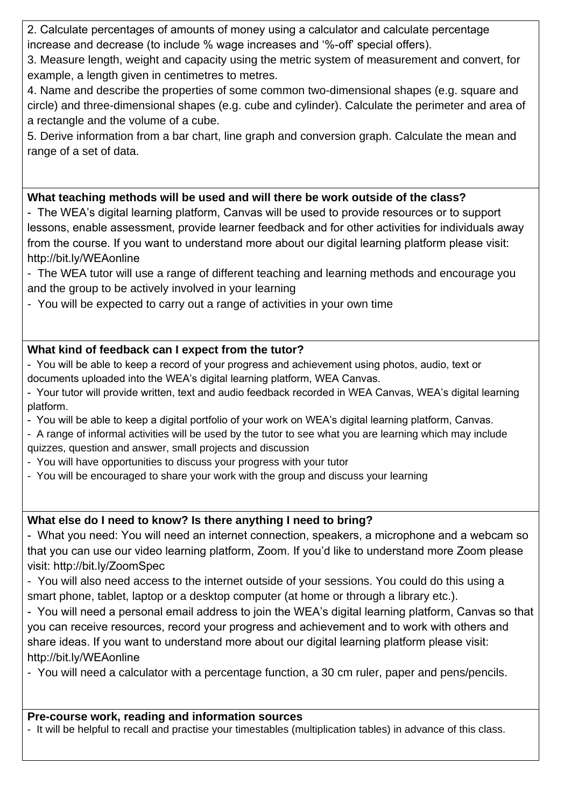2. Calculate percentages of amounts of money using a calculator and calculate percentage increase and decrease (to include % wage increases and '%-off' special offers).

3. Measure length, weight and capacity using the metric system of measurement and convert, for example, a length given in centimetres to metres.

4. Name and describe the properties of some common two-dimensional shapes (e.g. square and circle) and three-dimensional shapes (e.g. cube and cylinder). Calculate the perimeter and area of a rectangle and the volume of a cube.

5. Derive information from a bar chart, line graph and conversion graph. Calculate the mean and range of a set of data.

## **What teaching methods will be used and will there be work outside of the class?**

- The WEA's digital learning platform, Canvas will be used to provide resources or to support lessons, enable assessment, provide learner feedback and for other activities for individuals away from the course. If you want to understand more about our digital learning platform please visit: http://bit.ly/WEAonline

- The WEA tutor will use a range of different teaching and learning methods and encourage you and the group to be actively involved in your learning

- You will be expected to carry out a range of activities in your own time

# **What kind of feedback can I expect from the tutor?**

- You will be able to keep a record of your progress and achievement using photos, audio, text or documents uploaded into the WEA's digital learning platform, WEA Canvas.

- Your tutor will provide written, text and audio feedback recorded in WEA Canvas, WEA's digital learning platform.
- You will be able to keep a digital portfolio of your work on WEA's digital learning platform, Canvas.
- A range of informal activities will be used by the tutor to see what you are learning which may include quizzes, question and answer, small projects and discussion
- You will have opportunities to discuss your progress with your tutor
- You will be encouraged to share your work with the group and discuss your learning

# **What else do I need to know? Is there anything I need to bring?**

- What you need: You will need an internet connection, speakers, a microphone and a webcam so that you can use our video learning platform, Zoom. If you'd like to understand more Zoom please visit: http://bit.ly/ZoomSpec

- You will also need access to the internet outside of your sessions. You could do this using a smart phone, tablet, laptop or a desktop computer (at home or through a library etc.).

- You will need a personal email address to join the WEA's digital learning platform, Canvas so that you can receive resources, record your progress and achievement and to work with others and share ideas. If you want to understand more about our digital learning platform please visit: http://bit.ly/WEAonline

- You will need a calculator with a percentage function, a 30 cm ruler, paper and pens/pencils.

## **Pre-course work, reading and information sources**

- It will be helpful to recall and practise your timestables (multiplication tables) in advance of this class.